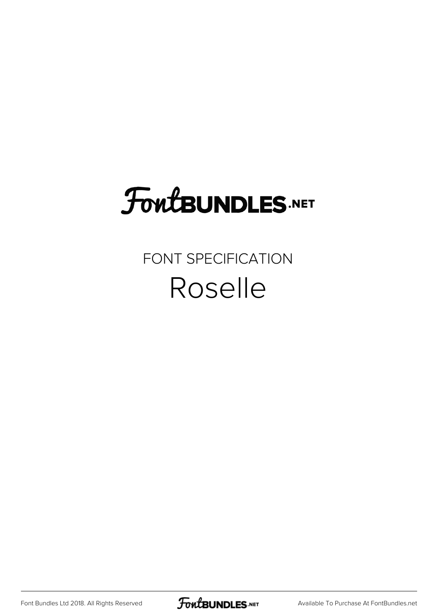## **FoutBUNDLES.NET**

## FONT SPECIFICATION Roselle

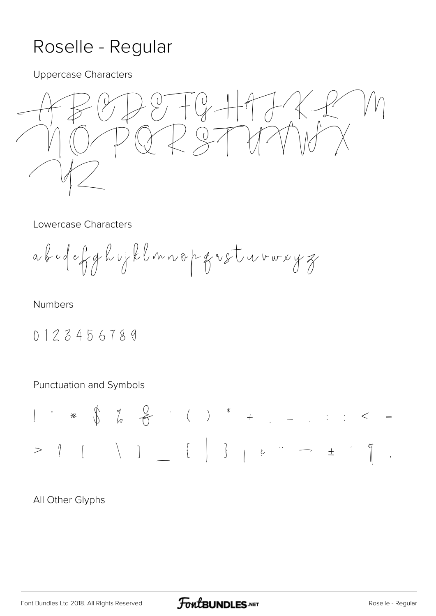## Roselle - Regular

**Uppercase Characters** 

 $\begin{matrix} 0 \\ 7 \end{matrix}$  +  $-t$  +  $-$ /  $\left\langle \right\rangle$ 

Lowercase Characters

ab odef ghvjklnnop gretureryz

**Numbers** 

0123456789

Punctuation and Symbols

All Other Glyphs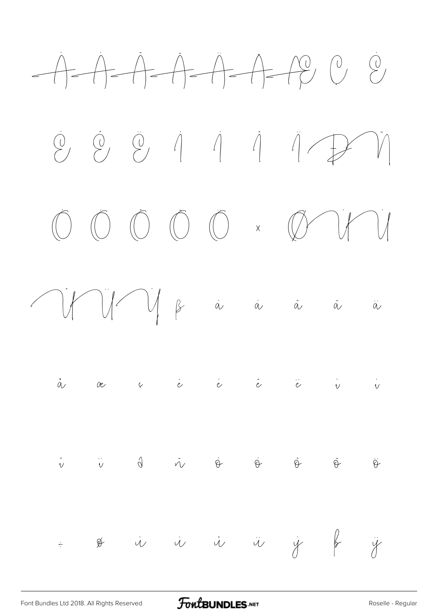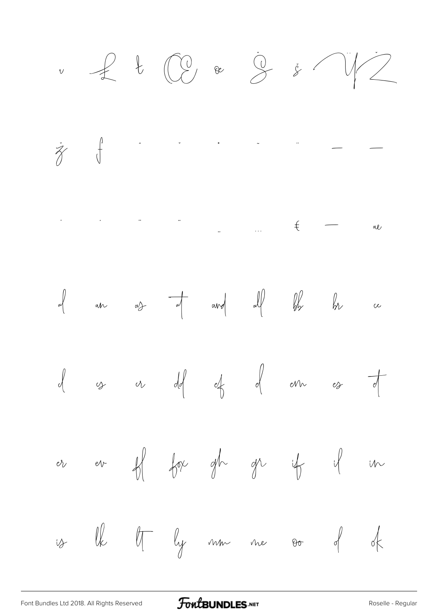$\overline{v}$ 









 $H$  for gh gr  $ev$  $\sqrt{2}$  $47$  $\mathcal{O}_V$  $\sqrt{2}$ 

 $\ell$ Of by mm me oo of  $\nless$  $\psi$ 

**FoutBUNDLES**.NET